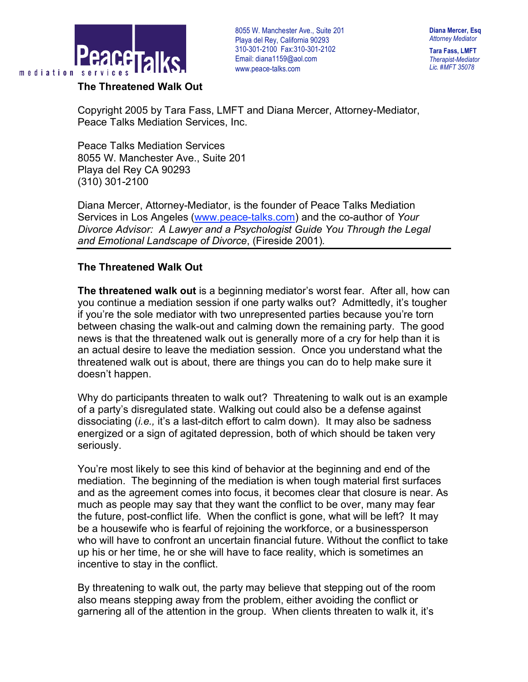

**Diana Mercer, Esq** *Attorney Mediator*

**Tara Fass, LMFT** *Therapist-Mediator Lic. #MFT 35078*

**The Threatened Walk Out**

Copyright 2005 by Tara Fass, LMFT and Diana Mercer, Attorney-Mediator, Peace Talks Mediation Services, Inc.

Peace Talks Mediation Services 8055 W. Manchester Ave., Suite 201 Playa del Rey CA 90293 (310) 301-2100

Diana Mercer, Attorney-Mediator, is the founder of Peace Talks Mediation Services in Los Angeles (www.peace-talks.com) and the co-author of *Your Divorce Advisor: A Lawyer and a Psychologist Guide You Through the Legal and Emotional Landscape of Divorce*, (Fireside 2001)*.*

## **The Threatened Walk Out**

**The threatened walk out** is a beginning mediator's worst fear. After all, how can you continue a mediation session if one party walks out? Admittedly, it's tougher if you're the sole mediator with two unrepresented parties because you're torn between chasing the walk-out and calming down the remaining party. The good news is that the threatened walk out is generally more of a cry for help than it is an actual desire to leave the mediation session. Once you understand what the threatened walk out is about, there are things you can do to help make sure it doesn't happen.

Why do participants threaten to walk out? Threatening to walk out is an example of a party's disregulated state. Walking out could also be a defense against dissociating (*i.e.,* it's a last-ditch effort to calm down). It may also be sadness energized or a sign of agitated depression, both of which should be taken very seriously.

You're most likely to see this kind of behavior at the beginning and end of the mediation. The beginning of the mediation is when tough material first surfaces and as the agreement comes into focus, it becomes clear that closure is near. As much as people may say that they want the conflict to be over, many may fear the future, post-conflict life. When the conflict is gone, what will be left? It may be a housewife who is fearful of rejoining the workforce, or a businessperson who will have to confront an uncertain financial future. Without the conflict to take up his or her time, he or she will have to face reality, which is sometimes an incentive to stay in the conflict.

By threatening to walk out, the party may believe that stepping out of the room also means stepping away from the problem, either avoiding the conflict or garnering all of the attention in the group. When clients threaten to walk it, it's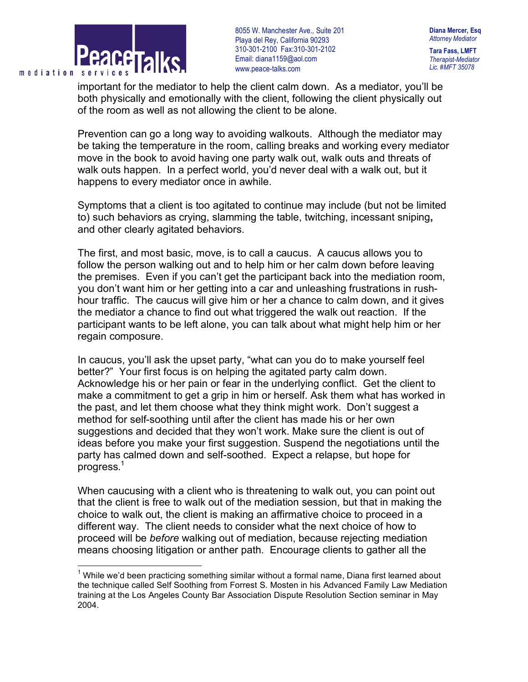

**Diana Mercer, Esq** *Attorney Mediator*

**Tara Fass, LMFT** *Therapist-Mediator Lic. #MFT 35078*

important for the mediator to help the client calm down. As a mediator, you'll be both physically and emotionally with the client, following the client physically out of the room as well as not allowing the client to be alone.

Prevention can go a long way to avoiding walkouts. Although the mediator may be taking the temperature in the room, calling breaks and working every mediator move in the book to avoid having one party walk out, walk outs and threats of walk outs happen. In a perfect world, you'd never deal with a walk out, but it happens to every mediator once in awhile.

Symptoms that a client is too agitated to continue may include (but not be limited to) such behaviors as crying, slamming the table, twitching, incessant sniping**,** and other clearly agitated behaviors.

The first, and most basic, move, is to call a caucus. A caucus allows you to follow the person walking out and to help him or her calm down before leaving the premises. Even if you can't get the participant back into the mediation room, you don't want him or her getting into a car and unleashing frustrations in rushhour traffic. The caucus will give him or her a chance to calm down, and it gives the mediator a chance to find out what triggered the walk out reaction. If the participant wants to be left alone, you can talk about what might help him or her regain composure.

In caucus, you'll ask the upset party, "what can you do to make yourself feel better?" Your first focus is on helping the agitated party calm down. Acknowledge his or her pain or fear in the underlying conflict. Get the client to make a commitment to get a grip in him or herself. Ask them what has worked in the past, and let them choose what they think might work. Don't suggest a method for self-soothing until after the client has made his or her own suggestions and decided that they won't work. Make sure the client is out of ideas before you make your first suggestion. Suspend the negotiations until the party has calmed down and self-soothed. Expect a relapse, but hope for progress.<sup>1</sup>

When caucusing with a client who is threatening to walk out, you can point out that the client is free to walk out of the mediation session, but that in making the choice to walk out, the client is making an affirmative choice to proceed in a different way. The client needs to consider what the next choice of how to proceed will be *before* walking out of mediation, because rejecting mediation means choosing litigation or anther path. Encourage clients to gather all the

 $1$  While we'd been practicing something similar without a formal name, Diana first learned about the technique called Self Soothing from Forrest S. Mosten in his Advanced Family Law Mediation training at the Los Angeles County Bar Association Dispute Resolution Section seminar in May 2004.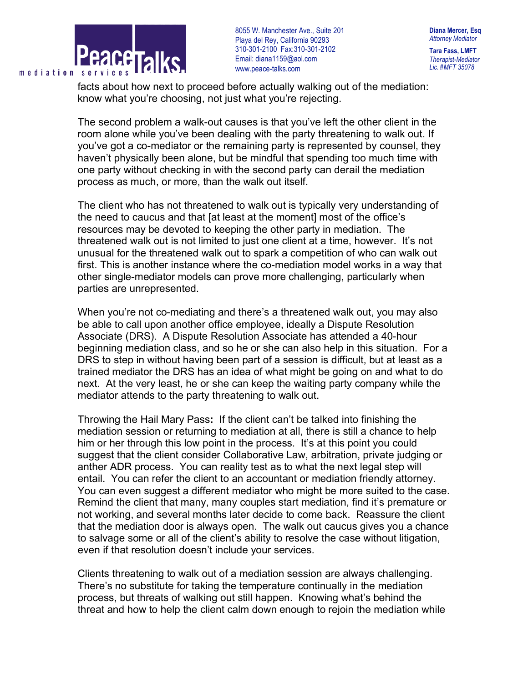

**Diana Mercer, Esq** *Attorney Mediator* **Tara Fass, LMFT** *Therapist-Mediator*

*Lic. #MFT 35078*

facts about how next to proceed before actually walking out of the mediation: know what you're choosing, not just what you're rejecting.

The second problem a walk-out causes is that you've left the other client in the room alone while you've been dealing with the party threatening to walk out. If you've got a co-mediator or the remaining party is represented by counsel, they haven't physically been alone, but be mindful that spending too much time with one party without checking in with the second party can derail the mediation process as much, or more, than the walk out itself.

The client who has not threatened to walk out is typically very understanding of the need to caucus and that [at least at the moment] most of the office's resources may be devoted to keeping the other party in mediation. The threatened walk out is not limited to just one client at a time, however. It's not unusual for the threatened walk out to spark a competition of who can walk out first. This is another instance where the co-mediation model works in a way that other single-mediator models can prove more challenging, particularly when parties are unrepresented.

When you're not co-mediating and there's a threatened walk out, you may also be able to call upon another office employee, ideally a Dispute Resolution Associate (DRS). A Dispute Resolution Associate has attended a 40-hour beginning mediation class, and so he or she can also help in this situation. For a DRS to step in without having been part of a session is difficult, but at least as a trained mediator the DRS has an idea of what might be going on and what to do next. At the very least, he or she can keep the waiting party company while the mediator attends to the party threatening to walk out.

Throwing the Hail Mary Pass**:** If the client can't be talked into finishing the mediation session or returning to mediation at all, there is still a chance to help him or her through this low point in the process. It's at this point you could suggest that the client consider Collaborative Law, arbitration, private judging or anther ADR process. You can reality test as to what the next legal step will entail. You can refer the client to an accountant or mediation friendly attorney. You can even suggest a different mediator who might be more suited to the case. Remind the client that many, many couples start mediation, find it's premature or not working, and several months later decide to come back. Reassure the client that the mediation door is always open. The walk out caucus gives you a chance to salvage some or all of the client's ability to resolve the case without litigation, even if that resolution doesn't include your services.

Clients threatening to walk out of a mediation session are always challenging. There's no substitute for taking the temperature continually in the mediation process, but threats of walking out still happen. Knowing what's behind the threat and how to help the client calm down enough to rejoin the mediation while